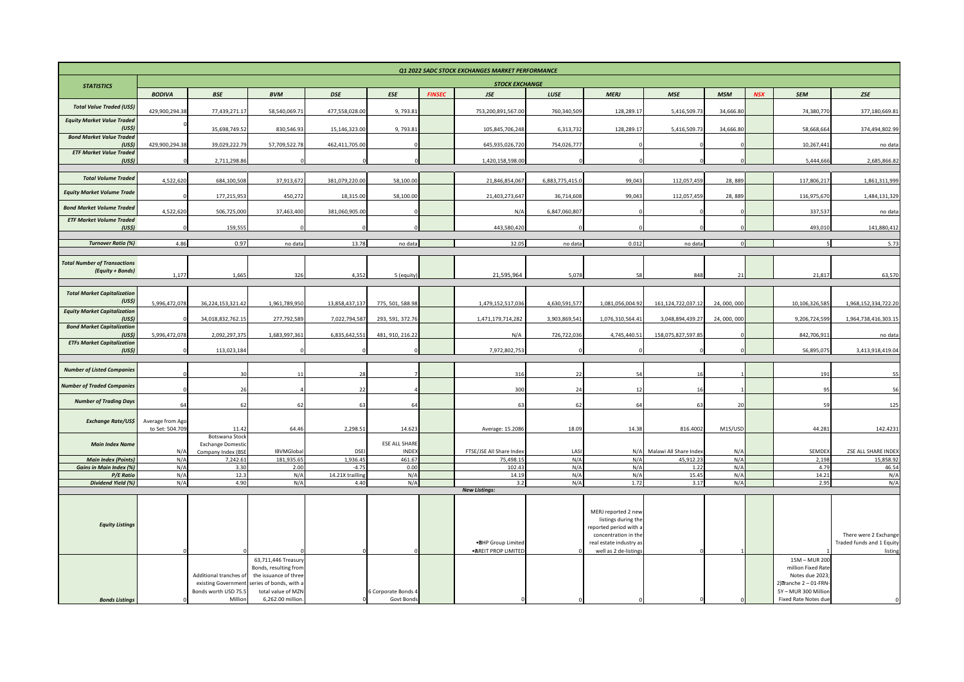| <b>STOCK EXCHANGE</b><br><b>STATISTICS</b><br><b>FINSEC</b><br>LUSE<br><b>NSX</b><br><b>BODIVA</b><br><b>BSE</b><br><b>DSE</b><br><b>ESE</b><br><b>JSE</b><br><b>MERJ</b><br><b>MSE</b><br><b>MSM</b><br><b>SEM</b><br>ZSE<br><b>BVM</b><br><b>Total Value Traded (US\$)</b><br>429,900,294.3<br>5,416,509.73<br>77,439,271.1<br>58,540,069.71<br>477,558,028.00<br>9,793.81<br>753,200,891,567.00<br>760,340,509<br>128,289.17<br>34,666.80<br>74,380,770<br><b>Equity Market Value Traded</b><br>(US <sub>5</sub> )<br>6,313,732<br>35,698,749.52<br>830,546.93<br>15,146,323.00<br>9,793.81<br>105,845,706,248<br>128,289.17<br>5,416,509.73<br>34,666.80<br>58,668,664<br><b>Bond Market Value Traded</b><br>(US <sub>5</sub> )<br>429,900,294.38<br>39,029,222.79<br>57,709,522.78<br>462,411,705.00<br>645,935,026,720<br>754,026,777<br>10,267,44<br><b>ETF Market Value Traded</b><br>(US <sub>5</sub> )<br>2,711,298.86<br>1,420,158,598.00<br>5,444,666<br><b>Total Volume Traded</b><br>4,522,620<br>684,100,508<br>37,913,672<br>381,079,220.00<br>58,100.00<br>21,846,854,067<br>6,883,775,415.0<br>112,057,459<br>117,806,217<br>99,043<br>28,889<br><b>Equity Market Volume Trade</b><br>177,215,95<br>450,272<br>58,100.00<br>21,403,273,647<br>99,043<br>112,057,459<br>28,889<br>116,975,670<br>18,315.00<br>36,714,608<br><b>Bond Market Volume Traded</b><br>4,522,620<br>381,060,905.00<br>6,847,060,807<br>506,725,000<br>37,463,400<br>337,537<br>N/A<br><b>ETF Market Volume Traded</b><br>159,555<br>443,580,420<br>493,010<br>(USS)<br>4.86<br>0.97<br>13.78<br>0.012<br><b>Turnover Ratio (%)</b><br>32.05<br>no data<br>no data<br>no data<br>no data<br><b>Total Number of Transactions</b><br>(Equity + Bonds)<br>1,177<br>1,665<br>326<br>4,352<br>5 (equity)<br>21,595,964<br>5,078<br>848<br>21<br>21,817<br>58<br><b>Total Market Capitalization</b><br>(US <sub>5</sub> )<br>5,996,472,078<br>36,224,153,321.42<br>13,858,437,137<br>1,479,152,517,036<br>4,630,591,577<br>1,961,789,950<br>775, 501, 588.98<br>1,081,056,004.92<br>161,124,722,037.12<br>24,000,000<br>10,106,326,585<br><b>Equity Market Capitalization</b><br>34,018,832,762.15<br>277,792,589<br>7,022,794,587<br>293, 591, 372.76<br>1,471,179,714,282<br>3,903,869,541<br>1,076,310,564.41<br>3,048,894,439.27<br>24,000,000<br>9,206,724,599<br>(US <sub>5</sub> )<br><b>Bond Market Capitalization</b><br>5,996,472,078<br>2,092,297,375<br>1,683,997,361<br>6,835,642,551<br>481, 910, 216.22<br>726,722,036<br>4,745,440.51<br>158,075,827,597.85<br>842,706,911<br>(US <sub>5</sub> )<br>N/A<br><b>ETFs Market Capitalization</b><br>7,972,802,753<br>(US <sub>5</sub> )<br>113,023,184<br>56,895,075<br><b>Number of Listed Companies</b><br>316<br>22<br>191<br>30<br>11<br>28<br>54<br><b>Number of Traded Companies</b><br>300<br>26<br>22<br>24<br>95<br>12<br>16<br><b>Number of Trading Days</b><br>62<br>62<br>64<br>20<br>59<br>64<br>62<br>63<br>64<br>63<br>63<br><b>Exchange Rate/US\$</b><br>Average from Ago<br>to Set: 504.709<br>11.42<br>64.46<br>2,298.51<br>14.623<br>Average: 15.2086<br>18.09<br>14.38<br>816.4002<br>M15/USD<br>44.281<br>Botswana Stock<br><b>ESE ALL SHARE</b><br><b>Main Index Name</b><br><b>Exchange Domestic</b><br><b>INDEX</b><br>FTSE/JSE All Share Index<br>Malawi All Share Index<br>SEMDEX<br>IBVMGlobal<br><b>DSE</b><br>LASI<br>N/A<br>Company Index (BSE<br>N/A<br>N/A<br>N/A<br>181,935.65<br>1,936.45<br>461.67<br>N/A<br><b>Main Index (Points)</b><br>7,242.61<br>75,498.15<br>N/A<br>45,912.23<br>N/A<br>2,198<br><b>Gains in Main Index (%)</b><br>N/A<br>3.30<br>2.00<br>$-4.75$<br>0.00<br>102.43<br>N/A<br>N/A<br>1.22<br>N/A<br>4.79<br>P/E Ratio<br>N/A<br>12.3<br>N/A<br>14.21X trailling<br>N/A<br>14.19<br>N/A<br>N/A<br>15.45<br>N/A<br>14.21<br>Dividend Yield (%)<br>N/A<br>4.90<br>N/A<br>4.40<br>N/A<br>N/A<br>1.72<br>2.95<br>3.2<br>3.17<br>N/A<br><b>New Listings:</b><br>MERJ reported 2 new<br>listings during the<br><b>Equity Listings</b><br>reported period with a<br>concentration in the<br>real estate industry as<br>.BHP Group Limited<br>· AREIT PROP LIMITED<br>well as 2 de-listings<br>63,711,446 Treasury<br>15M - MUR 200<br>million Fixed Rate<br>Bonds, resulting from |  |                        |                       |  |  |  | Q1 2022 SADC STOCK EXCHANGES MARKET PERFORMANCE |  |  |  |  |  |                 |                                                    |  |
|------------------------------------------------------------------------------------------------------------------------------------------------------------------------------------------------------------------------------------------------------------------------------------------------------------------------------------------------------------------------------------------------------------------------------------------------------------------------------------------------------------------------------------------------------------------------------------------------------------------------------------------------------------------------------------------------------------------------------------------------------------------------------------------------------------------------------------------------------------------------------------------------------------------------------------------------------------------------------------------------------------------------------------------------------------------------------------------------------------------------------------------------------------------------------------------------------------------------------------------------------------------------------------------------------------------------------------------------------------------------------------------------------------------------------------------------------------------------------------------------------------------------------------------------------------------------------------------------------------------------------------------------------------------------------------------------------------------------------------------------------------------------------------------------------------------------------------------------------------------------------------------------------------------------------------------------------------------------------------------------------------------------------------------------------------------------------------------------------------------------------------------------------------------------------------------------------------------------------------------------------------------------------------------------------------------------------------------------------------------------------------------------------------------------------------------------------------------------------------------------------------------------------------------------------------------------------------------------------------------------------------------------------------------------------------------------------------------------------------------------------------------------------------------------------------------------------------------------------------------------------------------------------------------------------------------------------------------------------------------------------------------------------------------------------------------------------------------------------------------------------------------------------------------------------------------------------------------------------------------------------------------------------------------------------------------------------------------------------------------------------------------------------------------------------------------------------------------------------------------------------------------------------------------------------------------------------------------------------------------------------------------------------------------------------------------------------------------------------------------------------------------------------------------------------------------------------------------------------------------------------------------------------------------------------------------------------------------------------------------------------------------------------------------------------------------------------------------------------------------------------------------------------------------------------------------------------------------------------------------------------------------------------------|--|------------------------|-----------------------|--|--|--|-------------------------------------------------|--|--|--|--|--|-----------------|----------------------------------------------------|--|
|                                                                                                                                                                                                                                                                                                                                                                                                                                                                                                                                                                                                                                                                                                                                                                                                                                                                                                                                                                                                                                                                                                                                                                                                                                                                                                                                                                                                                                                                                                                                                                                                                                                                                                                                                                                                                                                                                                                                                                                                                                                                                                                                                                                                                                                                                                                                                                                                                                                                                                                                                                                                                                                                                                                                                                                                                                                                                                                                                                                                                                                                                                                                                                                                                                                                                                                                                                                                                                                                                                                                                                                                                                                                                                                                                                                                                                                                                                                                                                                                                                                                                                                                                                                                                                                                                    |  |                        |                       |  |  |  |                                                 |  |  |  |  |  |                 |                                                    |  |
|                                                                                                                                                                                                                                                                                                                                                                                                                                                                                                                                                                                                                                                                                                                                                                                                                                                                                                                                                                                                                                                                                                                                                                                                                                                                                                                                                                                                                                                                                                                                                                                                                                                                                                                                                                                                                                                                                                                                                                                                                                                                                                                                                                                                                                                                                                                                                                                                                                                                                                                                                                                                                                                                                                                                                                                                                                                                                                                                                                                                                                                                                                                                                                                                                                                                                                                                                                                                                                                                                                                                                                                                                                                                                                                                                                                                                                                                                                                                                                                                                                                                                                                                                                                                                                                                                    |  |                        |                       |  |  |  |                                                 |  |  |  |  |  |                 |                                                    |  |
|                                                                                                                                                                                                                                                                                                                                                                                                                                                                                                                                                                                                                                                                                                                                                                                                                                                                                                                                                                                                                                                                                                                                                                                                                                                                                                                                                                                                                                                                                                                                                                                                                                                                                                                                                                                                                                                                                                                                                                                                                                                                                                                                                                                                                                                                                                                                                                                                                                                                                                                                                                                                                                                                                                                                                                                                                                                                                                                                                                                                                                                                                                                                                                                                                                                                                                                                                                                                                                                                                                                                                                                                                                                                                                                                                                                                                                                                                                                                                                                                                                                                                                                                                                                                                                                                                    |  |                        |                       |  |  |  |                                                 |  |  |  |  |  |                 | 377,180,669.81                                     |  |
|                                                                                                                                                                                                                                                                                                                                                                                                                                                                                                                                                                                                                                                                                                                                                                                                                                                                                                                                                                                                                                                                                                                                                                                                                                                                                                                                                                                                                                                                                                                                                                                                                                                                                                                                                                                                                                                                                                                                                                                                                                                                                                                                                                                                                                                                                                                                                                                                                                                                                                                                                                                                                                                                                                                                                                                                                                                                                                                                                                                                                                                                                                                                                                                                                                                                                                                                                                                                                                                                                                                                                                                                                                                                                                                                                                                                                                                                                                                                                                                                                                                                                                                                                                                                                                                                                    |  |                        |                       |  |  |  |                                                 |  |  |  |  |  |                 | 374,494,802.99                                     |  |
|                                                                                                                                                                                                                                                                                                                                                                                                                                                                                                                                                                                                                                                                                                                                                                                                                                                                                                                                                                                                                                                                                                                                                                                                                                                                                                                                                                                                                                                                                                                                                                                                                                                                                                                                                                                                                                                                                                                                                                                                                                                                                                                                                                                                                                                                                                                                                                                                                                                                                                                                                                                                                                                                                                                                                                                                                                                                                                                                                                                                                                                                                                                                                                                                                                                                                                                                                                                                                                                                                                                                                                                                                                                                                                                                                                                                                                                                                                                                                                                                                                                                                                                                                                                                                                                                                    |  |                        |                       |  |  |  |                                                 |  |  |  |  |  |                 |                                                    |  |
|                                                                                                                                                                                                                                                                                                                                                                                                                                                                                                                                                                                                                                                                                                                                                                                                                                                                                                                                                                                                                                                                                                                                                                                                                                                                                                                                                                                                                                                                                                                                                                                                                                                                                                                                                                                                                                                                                                                                                                                                                                                                                                                                                                                                                                                                                                                                                                                                                                                                                                                                                                                                                                                                                                                                                                                                                                                                                                                                                                                                                                                                                                                                                                                                                                                                                                                                                                                                                                                                                                                                                                                                                                                                                                                                                                                                                                                                                                                                                                                                                                                                                                                                                                                                                                                                                    |  |                        |                       |  |  |  |                                                 |  |  |  |  |  |                 | no data                                            |  |
|                                                                                                                                                                                                                                                                                                                                                                                                                                                                                                                                                                                                                                                                                                                                                                                                                                                                                                                                                                                                                                                                                                                                                                                                                                                                                                                                                                                                                                                                                                                                                                                                                                                                                                                                                                                                                                                                                                                                                                                                                                                                                                                                                                                                                                                                                                                                                                                                                                                                                                                                                                                                                                                                                                                                                                                                                                                                                                                                                                                                                                                                                                                                                                                                                                                                                                                                                                                                                                                                                                                                                                                                                                                                                                                                                                                                                                                                                                                                                                                                                                                                                                                                                                                                                                                                                    |  |                        |                       |  |  |  |                                                 |  |  |  |  |  |                 | 2,685,866.82                                       |  |
|                                                                                                                                                                                                                                                                                                                                                                                                                                                                                                                                                                                                                                                                                                                                                                                                                                                                                                                                                                                                                                                                                                                                                                                                                                                                                                                                                                                                                                                                                                                                                                                                                                                                                                                                                                                                                                                                                                                                                                                                                                                                                                                                                                                                                                                                                                                                                                                                                                                                                                                                                                                                                                                                                                                                                                                                                                                                                                                                                                                                                                                                                                                                                                                                                                                                                                                                                                                                                                                                                                                                                                                                                                                                                                                                                                                                                                                                                                                                                                                                                                                                                                                                                                                                                                                                                    |  |                        |                       |  |  |  |                                                 |  |  |  |  |  |                 | 1,861,311,999                                      |  |
|                                                                                                                                                                                                                                                                                                                                                                                                                                                                                                                                                                                                                                                                                                                                                                                                                                                                                                                                                                                                                                                                                                                                                                                                                                                                                                                                                                                                                                                                                                                                                                                                                                                                                                                                                                                                                                                                                                                                                                                                                                                                                                                                                                                                                                                                                                                                                                                                                                                                                                                                                                                                                                                                                                                                                                                                                                                                                                                                                                                                                                                                                                                                                                                                                                                                                                                                                                                                                                                                                                                                                                                                                                                                                                                                                                                                                                                                                                                                                                                                                                                                                                                                                                                                                                                                                    |  |                        |                       |  |  |  |                                                 |  |  |  |  |  |                 | 1,484,131,329                                      |  |
|                                                                                                                                                                                                                                                                                                                                                                                                                                                                                                                                                                                                                                                                                                                                                                                                                                                                                                                                                                                                                                                                                                                                                                                                                                                                                                                                                                                                                                                                                                                                                                                                                                                                                                                                                                                                                                                                                                                                                                                                                                                                                                                                                                                                                                                                                                                                                                                                                                                                                                                                                                                                                                                                                                                                                                                                                                                                                                                                                                                                                                                                                                                                                                                                                                                                                                                                                                                                                                                                                                                                                                                                                                                                                                                                                                                                                                                                                                                                                                                                                                                                                                                                                                                                                                                                                    |  |                        |                       |  |  |  |                                                 |  |  |  |  |  |                 | no data                                            |  |
|                                                                                                                                                                                                                                                                                                                                                                                                                                                                                                                                                                                                                                                                                                                                                                                                                                                                                                                                                                                                                                                                                                                                                                                                                                                                                                                                                                                                                                                                                                                                                                                                                                                                                                                                                                                                                                                                                                                                                                                                                                                                                                                                                                                                                                                                                                                                                                                                                                                                                                                                                                                                                                                                                                                                                                                                                                                                                                                                                                                                                                                                                                                                                                                                                                                                                                                                                                                                                                                                                                                                                                                                                                                                                                                                                                                                                                                                                                                                                                                                                                                                                                                                                                                                                                                                                    |  |                        |                       |  |  |  |                                                 |  |  |  |  |  |                 | 141,880,412                                        |  |
|                                                                                                                                                                                                                                                                                                                                                                                                                                                                                                                                                                                                                                                                                                                                                                                                                                                                                                                                                                                                                                                                                                                                                                                                                                                                                                                                                                                                                                                                                                                                                                                                                                                                                                                                                                                                                                                                                                                                                                                                                                                                                                                                                                                                                                                                                                                                                                                                                                                                                                                                                                                                                                                                                                                                                                                                                                                                                                                                                                                                                                                                                                                                                                                                                                                                                                                                                                                                                                                                                                                                                                                                                                                                                                                                                                                                                                                                                                                                                                                                                                                                                                                                                                                                                                                                                    |  |                        |                       |  |  |  |                                                 |  |  |  |  |  |                 | 5.73                                               |  |
|                                                                                                                                                                                                                                                                                                                                                                                                                                                                                                                                                                                                                                                                                                                                                                                                                                                                                                                                                                                                                                                                                                                                                                                                                                                                                                                                                                                                                                                                                                                                                                                                                                                                                                                                                                                                                                                                                                                                                                                                                                                                                                                                                                                                                                                                                                                                                                                                                                                                                                                                                                                                                                                                                                                                                                                                                                                                                                                                                                                                                                                                                                                                                                                                                                                                                                                                                                                                                                                                                                                                                                                                                                                                                                                                                                                                                                                                                                                                                                                                                                                                                                                                                                                                                                                                                    |  |                        |                       |  |  |  |                                                 |  |  |  |  |  |                 |                                                    |  |
|                                                                                                                                                                                                                                                                                                                                                                                                                                                                                                                                                                                                                                                                                                                                                                                                                                                                                                                                                                                                                                                                                                                                                                                                                                                                                                                                                                                                                                                                                                                                                                                                                                                                                                                                                                                                                                                                                                                                                                                                                                                                                                                                                                                                                                                                                                                                                                                                                                                                                                                                                                                                                                                                                                                                                                                                                                                                                                                                                                                                                                                                                                                                                                                                                                                                                                                                                                                                                                                                                                                                                                                                                                                                                                                                                                                                                                                                                                                                                                                                                                                                                                                                                                                                                                                                                    |  |                        |                       |  |  |  |                                                 |  |  |  |  |  |                 |                                                    |  |
|                                                                                                                                                                                                                                                                                                                                                                                                                                                                                                                                                                                                                                                                                                                                                                                                                                                                                                                                                                                                                                                                                                                                                                                                                                                                                                                                                                                                                                                                                                                                                                                                                                                                                                                                                                                                                                                                                                                                                                                                                                                                                                                                                                                                                                                                                                                                                                                                                                                                                                                                                                                                                                                                                                                                                                                                                                                                                                                                                                                                                                                                                                                                                                                                                                                                                                                                                                                                                                                                                                                                                                                                                                                                                                                                                                                                                                                                                                                                                                                                                                                                                                                                                                                                                                                                                    |  |                        |                       |  |  |  |                                                 |  |  |  |  |  |                 | 63,570                                             |  |
|                                                                                                                                                                                                                                                                                                                                                                                                                                                                                                                                                                                                                                                                                                                                                                                                                                                                                                                                                                                                                                                                                                                                                                                                                                                                                                                                                                                                                                                                                                                                                                                                                                                                                                                                                                                                                                                                                                                                                                                                                                                                                                                                                                                                                                                                                                                                                                                                                                                                                                                                                                                                                                                                                                                                                                                                                                                                                                                                                                                                                                                                                                                                                                                                                                                                                                                                                                                                                                                                                                                                                                                                                                                                                                                                                                                                                                                                                                                                                                                                                                                                                                                                                                                                                                                                                    |  |                        |                       |  |  |  |                                                 |  |  |  |  |  |                 |                                                    |  |
|                                                                                                                                                                                                                                                                                                                                                                                                                                                                                                                                                                                                                                                                                                                                                                                                                                                                                                                                                                                                                                                                                                                                                                                                                                                                                                                                                                                                                                                                                                                                                                                                                                                                                                                                                                                                                                                                                                                                                                                                                                                                                                                                                                                                                                                                                                                                                                                                                                                                                                                                                                                                                                                                                                                                                                                                                                                                                                                                                                                                                                                                                                                                                                                                                                                                                                                                                                                                                                                                                                                                                                                                                                                                                                                                                                                                                                                                                                                                                                                                                                                                                                                                                                                                                                                                                    |  |                        |                       |  |  |  |                                                 |  |  |  |  |  |                 | 1,968,152,334,722.20                               |  |
|                                                                                                                                                                                                                                                                                                                                                                                                                                                                                                                                                                                                                                                                                                                                                                                                                                                                                                                                                                                                                                                                                                                                                                                                                                                                                                                                                                                                                                                                                                                                                                                                                                                                                                                                                                                                                                                                                                                                                                                                                                                                                                                                                                                                                                                                                                                                                                                                                                                                                                                                                                                                                                                                                                                                                                                                                                                                                                                                                                                                                                                                                                                                                                                                                                                                                                                                                                                                                                                                                                                                                                                                                                                                                                                                                                                                                                                                                                                                                                                                                                                                                                                                                                                                                                                                                    |  |                        |                       |  |  |  |                                                 |  |  |  |  |  |                 | 1,964,738,416,303.15                               |  |
|                                                                                                                                                                                                                                                                                                                                                                                                                                                                                                                                                                                                                                                                                                                                                                                                                                                                                                                                                                                                                                                                                                                                                                                                                                                                                                                                                                                                                                                                                                                                                                                                                                                                                                                                                                                                                                                                                                                                                                                                                                                                                                                                                                                                                                                                                                                                                                                                                                                                                                                                                                                                                                                                                                                                                                                                                                                                                                                                                                                                                                                                                                                                                                                                                                                                                                                                                                                                                                                                                                                                                                                                                                                                                                                                                                                                                                                                                                                                                                                                                                                                                                                                                                                                                                                                                    |  |                        |                       |  |  |  |                                                 |  |  |  |  |  |                 | no data                                            |  |
|                                                                                                                                                                                                                                                                                                                                                                                                                                                                                                                                                                                                                                                                                                                                                                                                                                                                                                                                                                                                                                                                                                                                                                                                                                                                                                                                                                                                                                                                                                                                                                                                                                                                                                                                                                                                                                                                                                                                                                                                                                                                                                                                                                                                                                                                                                                                                                                                                                                                                                                                                                                                                                                                                                                                                                                                                                                                                                                                                                                                                                                                                                                                                                                                                                                                                                                                                                                                                                                                                                                                                                                                                                                                                                                                                                                                                                                                                                                                                                                                                                                                                                                                                                                                                                                                                    |  |                        |                       |  |  |  |                                                 |  |  |  |  |  |                 | 3,413,918,419.04                                   |  |
|                                                                                                                                                                                                                                                                                                                                                                                                                                                                                                                                                                                                                                                                                                                                                                                                                                                                                                                                                                                                                                                                                                                                                                                                                                                                                                                                                                                                                                                                                                                                                                                                                                                                                                                                                                                                                                                                                                                                                                                                                                                                                                                                                                                                                                                                                                                                                                                                                                                                                                                                                                                                                                                                                                                                                                                                                                                                                                                                                                                                                                                                                                                                                                                                                                                                                                                                                                                                                                                                                                                                                                                                                                                                                                                                                                                                                                                                                                                                                                                                                                                                                                                                                                                                                                                                                    |  |                        |                       |  |  |  |                                                 |  |  |  |  |  |                 |                                                    |  |
|                                                                                                                                                                                                                                                                                                                                                                                                                                                                                                                                                                                                                                                                                                                                                                                                                                                                                                                                                                                                                                                                                                                                                                                                                                                                                                                                                                                                                                                                                                                                                                                                                                                                                                                                                                                                                                                                                                                                                                                                                                                                                                                                                                                                                                                                                                                                                                                                                                                                                                                                                                                                                                                                                                                                                                                                                                                                                                                                                                                                                                                                                                                                                                                                                                                                                                                                                                                                                                                                                                                                                                                                                                                                                                                                                                                                                                                                                                                                                                                                                                                                                                                                                                                                                                                                                    |  |                        |                       |  |  |  |                                                 |  |  |  |  |  |                 | 55                                                 |  |
|                                                                                                                                                                                                                                                                                                                                                                                                                                                                                                                                                                                                                                                                                                                                                                                                                                                                                                                                                                                                                                                                                                                                                                                                                                                                                                                                                                                                                                                                                                                                                                                                                                                                                                                                                                                                                                                                                                                                                                                                                                                                                                                                                                                                                                                                                                                                                                                                                                                                                                                                                                                                                                                                                                                                                                                                                                                                                                                                                                                                                                                                                                                                                                                                                                                                                                                                                                                                                                                                                                                                                                                                                                                                                                                                                                                                                                                                                                                                                                                                                                                                                                                                                                                                                                                                                    |  |                        |                       |  |  |  |                                                 |  |  |  |  |  |                 | 56                                                 |  |
|                                                                                                                                                                                                                                                                                                                                                                                                                                                                                                                                                                                                                                                                                                                                                                                                                                                                                                                                                                                                                                                                                                                                                                                                                                                                                                                                                                                                                                                                                                                                                                                                                                                                                                                                                                                                                                                                                                                                                                                                                                                                                                                                                                                                                                                                                                                                                                                                                                                                                                                                                                                                                                                                                                                                                                                                                                                                                                                                                                                                                                                                                                                                                                                                                                                                                                                                                                                                                                                                                                                                                                                                                                                                                                                                                                                                                                                                                                                                                                                                                                                                                                                                                                                                                                                                                    |  |                        |                       |  |  |  |                                                 |  |  |  |  |  |                 | 125                                                |  |
|                                                                                                                                                                                                                                                                                                                                                                                                                                                                                                                                                                                                                                                                                                                                                                                                                                                                                                                                                                                                                                                                                                                                                                                                                                                                                                                                                                                                                                                                                                                                                                                                                                                                                                                                                                                                                                                                                                                                                                                                                                                                                                                                                                                                                                                                                                                                                                                                                                                                                                                                                                                                                                                                                                                                                                                                                                                                                                                                                                                                                                                                                                                                                                                                                                                                                                                                                                                                                                                                                                                                                                                                                                                                                                                                                                                                                                                                                                                                                                                                                                                                                                                                                                                                                                                                                    |  |                        |                       |  |  |  |                                                 |  |  |  |  |  |                 | 142.4231                                           |  |
|                                                                                                                                                                                                                                                                                                                                                                                                                                                                                                                                                                                                                                                                                                                                                                                                                                                                                                                                                                                                                                                                                                                                                                                                                                                                                                                                                                                                                                                                                                                                                                                                                                                                                                                                                                                                                                                                                                                                                                                                                                                                                                                                                                                                                                                                                                                                                                                                                                                                                                                                                                                                                                                                                                                                                                                                                                                                                                                                                                                                                                                                                                                                                                                                                                                                                                                                                                                                                                                                                                                                                                                                                                                                                                                                                                                                                                                                                                                                                                                                                                                                                                                                                                                                                                                                                    |  |                        |                       |  |  |  |                                                 |  |  |  |  |  |                 |                                                    |  |
|                                                                                                                                                                                                                                                                                                                                                                                                                                                                                                                                                                                                                                                                                                                                                                                                                                                                                                                                                                                                                                                                                                                                                                                                                                                                                                                                                                                                                                                                                                                                                                                                                                                                                                                                                                                                                                                                                                                                                                                                                                                                                                                                                                                                                                                                                                                                                                                                                                                                                                                                                                                                                                                                                                                                                                                                                                                                                                                                                                                                                                                                                                                                                                                                                                                                                                                                                                                                                                                                                                                                                                                                                                                                                                                                                                                                                                                                                                                                                                                                                                                                                                                                                                                                                                                                                    |  |                        |                       |  |  |  |                                                 |  |  |  |  |  |                 | ZSE ALL SHARE INDEX                                |  |
|                                                                                                                                                                                                                                                                                                                                                                                                                                                                                                                                                                                                                                                                                                                                                                                                                                                                                                                                                                                                                                                                                                                                                                                                                                                                                                                                                                                                                                                                                                                                                                                                                                                                                                                                                                                                                                                                                                                                                                                                                                                                                                                                                                                                                                                                                                                                                                                                                                                                                                                                                                                                                                                                                                                                                                                                                                                                                                                                                                                                                                                                                                                                                                                                                                                                                                                                                                                                                                                                                                                                                                                                                                                                                                                                                                                                                                                                                                                                                                                                                                                                                                                                                                                                                                                                                    |  |                        |                       |  |  |  |                                                 |  |  |  |  |  |                 | 15,858.92<br>46.54                                 |  |
|                                                                                                                                                                                                                                                                                                                                                                                                                                                                                                                                                                                                                                                                                                                                                                                                                                                                                                                                                                                                                                                                                                                                                                                                                                                                                                                                                                                                                                                                                                                                                                                                                                                                                                                                                                                                                                                                                                                                                                                                                                                                                                                                                                                                                                                                                                                                                                                                                                                                                                                                                                                                                                                                                                                                                                                                                                                                                                                                                                                                                                                                                                                                                                                                                                                                                                                                                                                                                                                                                                                                                                                                                                                                                                                                                                                                                                                                                                                                                                                                                                                                                                                                                                                                                                                                                    |  |                        |                       |  |  |  |                                                 |  |  |  |  |  |                 | N/A                                                |  |
|                                                                                                                                                                                                                                                                                                                                                                                                                                                                                                                                                                                                                                                                                                                                                                                                                                                                                                                                                                                                                                                                                                                                                                                                                                                                                                                                                                                                                                                                                                                                                                                                                                                                                                                                                                                                                                                                                                                                                                                                                                                                                                                                                                                                                                                                                                                                                                                                                                                                                                                                                                                                                                                                                                                                                                                                                                                                                                                                                                                                                                                                                                                                                                                                                                                                                                                                                                                                                                                                                                                                                                                                                                                                                                                                                                                                                                                                                                                                                                                                                                                                                                                                                                                                                                                                                    |  |                        |                       |  |  |  |                                                 |  |  |  |  |  |                 | N/A                                                |  |
|                                                                                                                                                                                                                                                                                                                                                                                                                                                                                                                                                                                                                                                                                                                                                                                                                                                                                                                                                                                                                                                                                                                                                                                                                                                                                                                                                                                                                                                                                                                                                                                                                                                                                                                                                                                                                                                                                                                                                                                                                                                                                                                                                                                                                                                                                                                                                                                                                                                                                                                                                                                                                                                                                                                                                                                                                                                                                                                                                                                                                                                                                                                                                                                                                                                                                                                                                                                                                                                                                                                                                                                                                                                                                                                                                                                                                                                                                                                                                                                                                                                                                                                                                                                                                                                                                    |  |                        |                       |  |  |  |                                                 |  |  |  |  |  |                 |                                                    |  |
|                                                                                                                                                                                                                                                                                                                                                                                                                                                                                                                                                                                                                                                                                                                                                                                                                                                                                                                                                                                                                                                                                                                                                                                                                                                                                                                                                                                                                                                                                                                                                                                                                                                                                                                                                                                                                                                                                                                                                                                                                                                                                                                                                                                                                                                                                                                                                                                                                                                                                                                                                                                                                                                                                                                                                                                                                                                                                                                                                                                                                                                                                                                                                                                                                                                                                                                                                                                                                                                                                                                                                                                                                                                                                                                                                                                                                                                                                                                                                                                                                                                                                                                                                                                                                                                                                    |  |                        |                       |  |  |  |                                                 |  |  |  |  |  |                 |                                                    |  |
|                                                                                                                                                                                                                                                                                                                                                                                                                                                                                                                                                                                                                                                                                                                                                                                                                                                                                                                                                                                                                                                                                                                                                                                                                                                                                                                                                                                                                                                                                                                                                                                                                                                                                                                                                                                                                                                                                                                                                                                                                                                                                                                                                                                                                                                                                                                                                                                                                                                                                                                                                                                                                                                                                                                                                                                                                                                                                                                                                                                                                                                                                                                                                                                                                                                                                                                                                                                                                                                                                                                                                                                                                                                                                                                                                                                                                                                                                                                                                                                                                                                                                                                                                                                                                                                                                    |  |                        |                       |  |  |  |                                                 |  |  |  |  |  |                 |                                                    |  |
|                                                                                                                                                                                                                                                                                                                                                                                                                                                                                                                                                                                                                                                                                                                                                                                                                                                                                                                                                                                                                                                                                                                                                                                                                                                                                                                                                                                                                                                                                                                                                                                                                                                                                                                                                                                                                                                                                                                                                                                                                                                                                                                                                                                                                                                                                                                                                                                                                                                                                                                                                                                                                                                                                                                                                                                                                                                                                                                                                                                                                                                                                                                                                                                                                                                                                                                                                                                                                                                                                                                                                                                                                                                                                                                                                                                                                                                                                                                                                                                                                                                                                                                                                                                                                                                                                    |  |                        |                       |  |  |  |                                                 |  |  |  |  |  |                 | There were 2 Exchange<br>Traded funds and 1 Equity |  |
|                                                                                                                                                                                                                                                                                                                                                                                                                                                                                                                                                                                                                                                                                                                                                                                                                                                                                                                                                                                                                                                                                                                                                                                                                                                                                                                                                                                                                                                                                                                                                                                                                                                                                                                                                                                                                                                                                                                                                                                                                                                                                                                                                                                                                                                                                                                                                                                                                                                                                                                                                                                                                                                                                                                                                                                                                                                                                                                                                                                                                                                                                                                                                                                                                                                                                                                                                                                                                                                                                                                                                                                                                                                                                                                                                                                                                                                                                                                                                                                                                                                                                                                                                                                                                                                                                    |  |                        |                       |  |  |  |                                                 |  |  |  |  |  |                 | listing                                            |  |
|                                                                                                                                                                                                                                                                                                                                                                                                                                                                                                                                                                                                                                                                                                                                                                                                                                                                                                                                                                                                                                                                                                                                                                                                                                                                                                                                                                                                                                                                                                                                                                                                                                                                                                                                                                                                                                                                                                                                                                                                                                                                                                                                                                                                                                                                                                                                                                                                                                                                                                                                                                                                                                                                                                                                                                                                                                                                                                                                                                                                                                                                                                                                                                                                                                                                                                                                                                                                                                                                                                                                                                                                                                                                                                                                                                                                                                                                                                                                                                                                                                                                                                                                                                                                                                                                                    |  |                        |                       |  |  |  |                                                 |  |  |  |  |  |                 |                                                    |  |
|                                                                                                                                                                                                                                                                                                                                                                                                                                                                                                                                                                                                                                                                                                                                                                                                                                                                                                                                                                                                                                                                                                                                                                                                                                                                                                                                                                                                                                                                                                                                                                                                                                                                                                                                                                                                                                                                                                                                                                                                                                                                                                                                                                                                                                                                                                                                                                                                                                                                                                                                                                                                                                                                                                                                                                                                                                                                                                                                                                                                                                                                                                                                                                                                                                                                                                                                                                                                                                                                                                                                                                                                                                                                                                                                                                                                                                                                                                                                                                                                                                                                                                                                                                                                                                                                                    |  | Additional tranches of | the issuance of three |  |  |  |                                                 |  |  |  |  |  | Notes due 2023; |                                                    |  |
| $2)$ Tranche $2 - 01$ -FRN-<br>existing Government<br>series of bonds, with a                                                                                                                                                                                                                                                                                                                                                                                                                                                                                                                                                                                                                                                                                                                                                                                                                                                                                                                                                                                                                                                                                                                                                                                                                                                                                                                                                                                                                                                                                                                                                                                                                                                                                                                                                                                                                                                                                                                                                                                                                                                                                                                                                                                                                                                                                                                                                                                                                                                                                                                                                                                                                                                                                                                                                                                                                                                                                                                                                                                                                                                                                                                                                                                                                                                                                                                                                                                                                                                                                                                                                                                                                                                                                                                                                                                                                                                                                                                                                                                                                                                                                                                                                                                                      |  |                        |                       |  |  |  |                                                 |  |  |  |  |  |                 |                                                    |  |
| Bonds worth USD 75.5<br>total value of MZN<br>5Y - MUR 300 Million<br>6 Corporate Bonds 4<br>Million<br>6,262.00 million<br>Fixed Rate Notes due<br>Govt Bonds<br><b>Bonds Listings</b><br>$\Omega$                                                                                                                                                                                                                                                                                                                                                                                                                                                                                                                                                                                                                                                                                                                                                                                                                                                                                                                                                                                                                                                                                                                                                                                                                                                                                                                                                                                                                                                                                                                                                                                                                                                                                                                                                                                                                                                                                                                                                                                                                                                                                                                                                                                                                                                                                                                                                                                                                                                                                                                                                                                                                                                                                                                                                                                                                                                                                                                                                                                                                                                                                                                                                                                                                                                                                                                                                                                                                                                                                                                                                                                                                                                                                                                                                                                                                                                                                                                                                                                                                                                                                |  |                        |                       |  |  |  |                                                 |  |  |  |  |  |                 |                                                    |  |